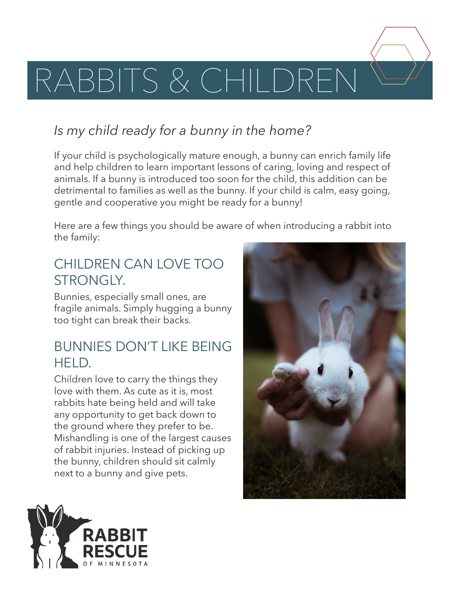

# *Is my child ready for a bunny in the home?*

If your child is psychologically mature enough, a bunny can enrich family life and help children to learn important lessons of caring, loving and respect of animals. If a bunny is introduced too soon for the child, this addition can be detrimental to families as well as the bunny. If your child is calm, easy going, gentle and cooperative you might be ready for a bunny!

Here are a few things you should be aware of when introducing a rabbit into the family:

# CHILDREN CAN LOVE TOO STRONGLY.

Bunnies, especially small ones, are fragile animals. Simply hugging a bunny too tight can break their backs.

#### BUNNIES DON'T LIKE BEING HFLD.

Children love to carry the things they love with them. As cute as it is, most rabbits hate being held and will take any opportunity to get back down to the ground where they prefer to be. Mishandling is one of the largest causes of rabbit injuries. Instead of picking up the bunny, children should sit calmly next to a bunny and give pets.